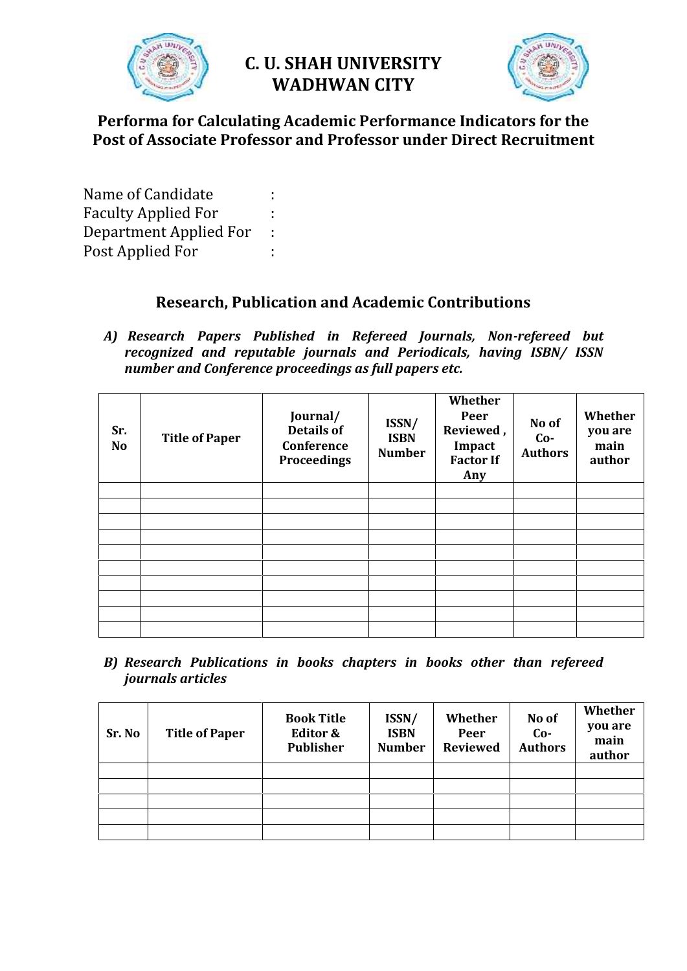

# **C. U. SHAH UNIVERSITY WADHWAN CITY**



# **Performa for Calculating Academic Performance Indicators for the Post of Associate Professor and Professor under Direct Recruitment**

Name of Candidate : Faculty Applied For :<br>Department Applied For : Department Applied For : Post Applied For :

# **Research, Publication and Academic Contributions**

*A) Research Papers Published in Refereed Journals, Non-refereed but recognized and reputable journals and Periodicals, having ISBN/ ISSN number and Conference proceedings as full papers etc.*

| Sr.<br><b>No</b> | <b>Title of Paper</b> | Journal/<br><b>Details of</b><br>Conference<br><b>Proceedings</b> | ISSN/<br><b>ISBN</b><br><b>Number</b> | Whether<br>Peer<br>Reviewed,<br>Impact<br><b>Factor If</b><br>Any | No of<br>$Co-$<br><b>Authors</b> | Whether<br>you are<br>main<br>author |
|------------------|-----------------------|-------------------------------------------------------------------|---------------------------------------|-------------------------------------------------------------------|----------------------------------|--------------------------------------|
|                  |                       |                                                                   |                                       |                                                                   |                                  |                                      |
|                  |                       |                                                                   |                                       |                                                                   |                                  |                                      |
|                  |                       |                                                                   |                                       |                                                                   |                                  |                                      |
|                  |                       |                                                                   |                                       |                                                                   |                                  |                                      |
|                  |                       |                                                                   |                                       |                                                                   |                                  |                                      |
|                  |                       |                                                                   |                                       |                                                                   |                                  |                                      |
|                  |                       |                                                                   |                                       |                                                                   |                                  |                                      |
|                  |                       |                                                                   |                                       |                                                                   |                                  |                                      |
|                  |                       |                                                                   |                                       |                                                                   |                                  |                                      |

*B) Research Publications in books chapters in books other than refereed journals articles*

| Sr. No | <b>Title of Paper</b> | <b>Book Title</b><br>Editor &<br><b>Publisher</b> | ISSN/<br><b>ISBN</b><br><b>Number</b> | Whether<br>Peer<br><b>Reviewed</b> | No of<br>$Co-$<br><b>Authors</b> | Whether<br>you are<br>main<br>author |
|--------|-----------------------|---------------------------------------------------|---------------------------------------|------------------------------------|----------------------------------|--------------------------------------|
|        |                       |                                                   |                                       |                                    |                                  |                                      |
|        |                       |                                                   |                                       |                                    |                                  |                                      |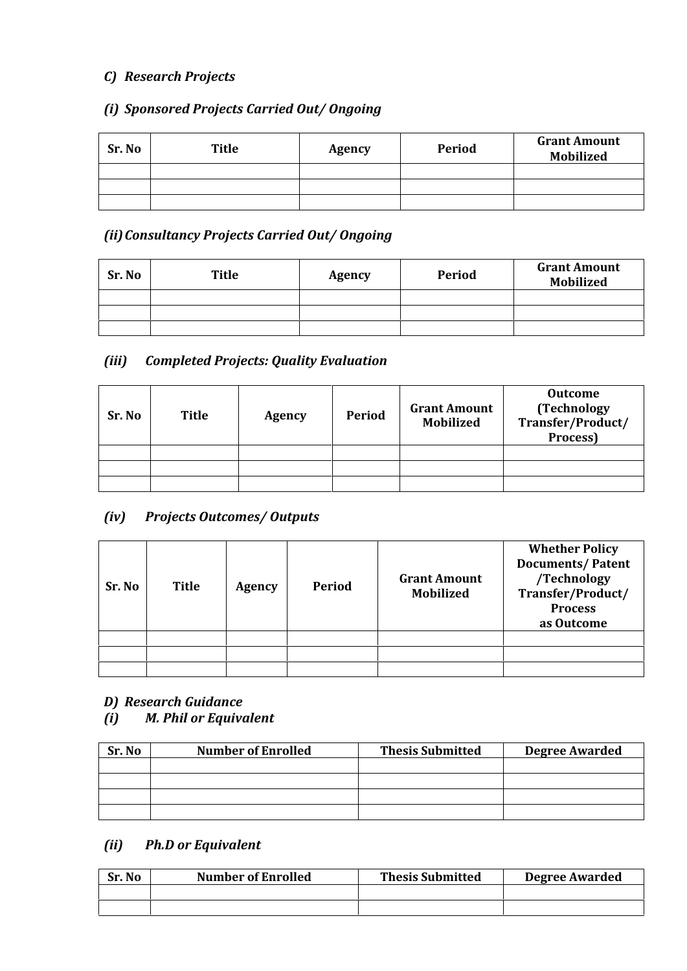# *C) Research Projects*

# *(i) Sponsored Projects Carried Out/ Ongoing*

| Sr. No | <b>Title</b> | Agency | <b>Period</b> | <b>Grant Amount</b><br><b>Mobilized</b> |
|--------|--------------|--------|---------------|-----------------------------------------|
|        |              |        |               |                                         |
|        |              |        |               |                                         |
|        |              |        |               |                                         |

### *(ii)Consultancy Projects Carried Out/ Ongoing*

| Sr. No | <b>Title</b> | Agency | Period | <b>Grant Amount</b><br><b>Mobilized</b> |
|--------|--------------|--------|--------|-----------------------------------------|
|        |              |        |        |                                         |
|        |              |        |        |                                         |
|        |              |        |        |                                         |

# *(iii) Completed Projects: Quality Evaluation*

| Sr. No | <b>Title</b> | <b>Agency</b> | <b>Period</b> | <b>Grant Amount</b><br><b>Mobilized</b> | <b>Outcome</b><br>(Technology<br>Transfer/Product/<br>Process) |
|--------|--------------|---------------|---------------|-----------------------------------------|----------------------------------------------------------------|
|        |              |               |               |                                         |                                                                |
|        |              |               |               |                                         |                                                                |
|        |              |               |               |                                         |                                                                |

# *(iv) Projects Outcomes/ Outputs*

| Sr. No | Title | Agency | Period | <b>Grant Amount</b><br><b>Mobilized</b> | <b>Whether Policy</b><br><b>Documents/Patent</b><br>/Technology<br>Transfer/Product/<br><b>Process</b><br>as Outcome |
|--------|-------|--------|--------|-----------------------------------------|----------------------------------------------------------------------------------------------------------------------|
|        |       |        |        |                                         |                                                                                                                      |
|        |       |        |        |                                         |                                                                                                                      |
|        |       |        |        |                                         |                                                                                                                      |

#### *D) Research Guidance*

#### *(i) M. Phil or Equivalent*

| Sr. No | <b>Number of Enrolled</b> | <b>Thesis Submitted</b> | <b>Degree Awarded</b> |
|--------|---------------------------|-------------------------|-----------------------|
|        |                           |                         |                       |
|        |                           |                         |                       |
|        |                           |                         |                       |
|        |                           |                         |                       |

# *(ii) Ph.D or Equivalent*

| Sr. No | <b>Number of Enrolled</b> | <b>Thesis Submitted</b> | Degree Awarded |
|--------|---------------------------|-------------------------|----------------|
|        |                           |                         |                |
|        |                           |                         |                |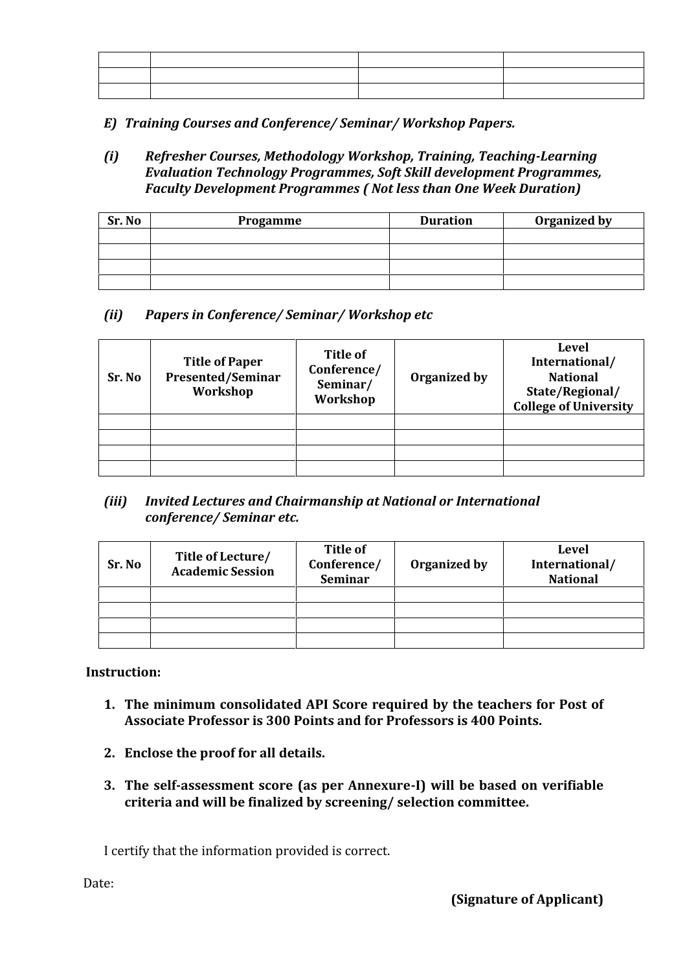*E) Training Courses and Conference/ Seminar/ Workshop Papers.*

*(i) Refresher Courses, Methodology Workshop, Training, Teaching-Learning Evaluation Technology Programmes, Soft Skill development Programmes, Faculty Development Programmes ( Not less than One Week Duration)*

| Sr. No | Progamme | <b>Duration</b> | Organized by |
|--------|----------|-----------------|--------------|
|        |          |                 |              |
|        |          |                 |              |
|        |          |                 |              |
|        |          |                 |              |

### *(ii) Papers in Conference/ Seminar/ Workshop etc*

| Sr. No | <b>Title of Paper</b><br><b>Presented/Seminar</b><br>Workshop | Title of<br>Conference/<br>Seminar/<br>Workshop | Organized by | <b>Level</b><br>International/<br><b>National</b><br>State/Regional/<br><b>College of University</b> |
|--------|---------------------------------------------------------------|-------------------------------------------------|--------------|------------------------------------------------------------------------------------------------------|
|        |                                                               |                                                 |              |                                                                                                      |
|        |                                                               |                                                 |              |                                                                                                      |
|        |                                                               |                                                 |              |                                                                                                      |

#### *(iii) Invited Lectures and Chairmanship at National or International conference/ Seminar etc.*

| Sr. No | Title of Lecture/<br><b>Academic Session</b> | <b>Title of</b><br>Conference/<br><b>Seminar</b> | Organized by | <b>Level</b><br>International/<br><b>National</b> |
|--------|----------------------------------------------|--------------------------------------------------|--------------|---------------------------------------------------|
|        |                                              |                                                  |              |                                                   |
|        |                                              |                                                  |              |                                                   |
|        |                                              |                                                  |              |                                                   |

**Instruction:**

- **1. The minimum consolidated API Score required by the teachers for Post of Associate Professor is 300 Points and for Professors is 400 Points.**
- **2. Enclose the proof for all details.**
- **3. The self-assessment score (as per Annexure-I) will be based on verifiable criteria and will be finalized by screening/ selection committee.**

I certify that the information provided is correct.

Date: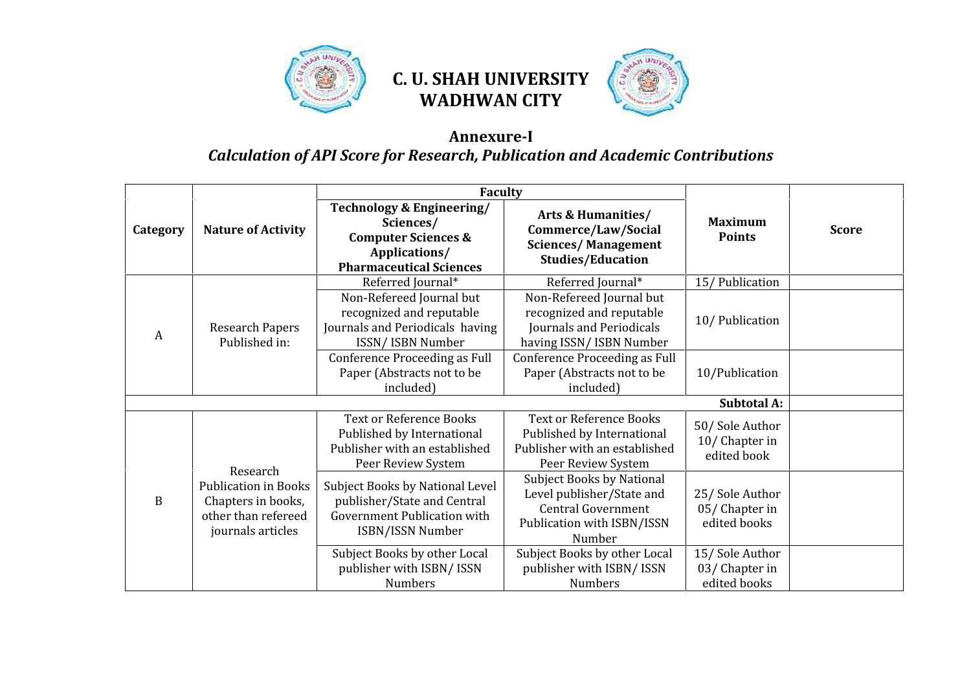

# **C. U. SHAH UNIVERSITY WADHWAN CITY**



# **Annexure-I** *Calculation of API Score for Research, Publication and Academic Contributions*

|             | <b>Nature of Activity</b>                                                                                 | <b>Faculty</b>                                                                                                              |                                                                                                                                    |                                                 |              |
|-------------|-----------------------------------------------------------------------------------------------------------|-----------------------------------------------------------------------------------------------------------------------------|------------------------------------------------------------------------------------------------------------------------------------|-------------------------------------------------|--------------|
| Category    |                                                                                                           | Technology & Engineering/<br>Sciences/<br><b>Computer Sciences &amp;</b><br>Applications/<br><b>Pharmaceutical Sciences</b> | <b>Arts &amp; Humanities/</b><br>Commerce/Law/Social<br><b>Sciences/Management</b><br><b>Studies/Education</b>                     | <b>Maximum</b><br><b>Points</b>                 | <b>Score</b> |
| A           | <b>Research Papers</b><br>Published in:                                                                   | Referred Journal*                                                                                                           | Referred Journal*                                                                                                                  | 15/Publication                                  |              |
|             |                                                                                                           | Non-Refereed Journal but<br>recognized and reputable<br>Journals and Periodicals having<br>ISSN/ISBN Number                 | Non-Refereed Journal but<br>recognized and reputable<br>Journals and Periodicals<br>having ISSN/ISBN Number                        | 10/Publication                                  |              |
|             |                                                                                                           | Conference Proceeding as Full<br>Paper (Abstracts not to be<br>included)                                                    | Conference Proceeding as Full<br>Paper (Abstracts not to be<br>included)                                                           | 10/Publication                                  |              |
|             |                                                                                                           |                                                                                                                             |                                                                                                                                    | <b>Subtotal A:</b>                              |              |
| $\mathbf B$ | Research<br><b>Publication in Books</b><br>Chapters in books,<br>other than refereed<br>journals articles | <b>Text or Reference Books</b><br>Published by International<br>Publisher with an established<br>Peer Review System         | <b>Text or Reference Books</b><br>Published by International<br>Publisher with an established<br>Peer Review System                | 50/Sole Author<br>10/Chapter in<br>edited book  |              |
|             |                                                                                                           | Subject Books by National Level<br>publisher/State and Central<br>Government Publication with<br>ISBN/ISSN Number           | <b>Subject Books by National</b><br>Level publisher/State and<br><b>Central Government</b><br>Publication with ISBN/ISSN<br>Number | 25/Sole Author<br>05/Chapter in<br>edited books |              |
|             |                                                                                                           | Subject Books by other Local<br>publisher with ISBN/ISSN<br><b>Numbers</b>                                                  | Subject Books by other Local<br>publisher with ISBN/ISSN<br><b>Numbers</b>                                                         | 15/Sole Author<br>03/Chapter in<br>edited books |              |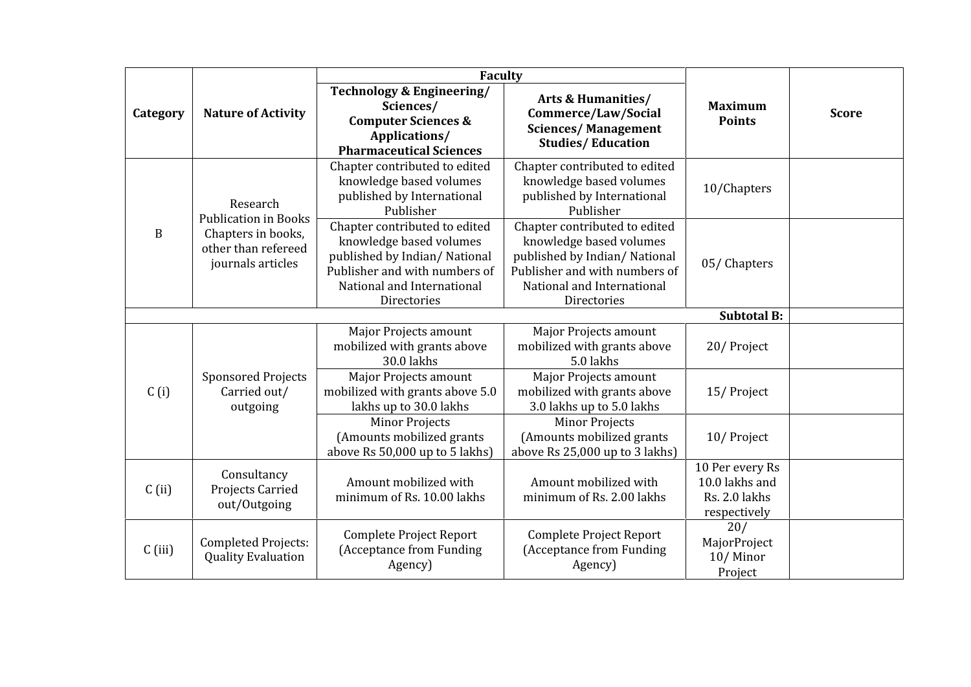|              | <b>Nature of Activity</b>                                                                                 | <b>Faculty</b>                                                                                                                                                         |                                                                                                                                                                        |                                                                    |              |
|--------------|-----------------------------------------------------------------------------------------------------------|------------------------------------------------------------------------------------------------------------------------------------------------------------------------|------------------------------------------------------------------------------------------------------------------------------------------------------------------------|--------------------------------------------------------------------|--------------|
| Category     |                                                                                                           | <b>Technology &amp; Engineering/</b><br>Sciences/<br><b>Computer Sciences &amp;</b><br>Applications/<br><b>Pharmaceutical Sciences</b>                                 | <b>Arts &amp; Humanities/</b><br>Commerce/Law/Social<br><b>Sciences/Management</b><br><b>Studies/Education</b>                                                         | <b>Maximum</b><br><b>Points</b>                                    | <b>Score</b> |
| $\, {\bf B}$ | Research<br><b>Publication in Books</b><br>Chapters in books,<br>other than refereed<br>journals articles | Chapter contributed to edited<br>knowledge based volumes<br>published by International<br>Publisher                                                                    | Chapter contributed to edited<br>knowledge based volumes<br>published by International<br>Publisher                                                                    | 10/Chapters                                                        |              |
|              |                                                                                                           | Chapter contributed to edited<br>knowledge based volumes<br>published by Indian/National<br>Publisher and with numbers of<br>National and International<br>Directories | Chapter contributed to edited<br>knowledge based volumes<br>published by Indian/National<br>Publisher and with numbers of<br>National and International<br>Directories | 05/Chapters                                                        |              |
|              |                                                                                                           |                                                                                                                                                                        |                                                                                                                                                                        | <b>Subtotal B:</b>                                                 |              |
| C(i)         | <b>Sponsored Projects</b><br>Carried out/<br>outgoing                                                     | Major Projects amount<br>mobilized with grants above<br>30.0 lakhs                                                                                                     | <b>Major Projects amount</b><br>mobilized with grants above<br>5.0 lakhs                                                                                               | 20/Project                                                         |              |
|              |                                                                                                           | Major Projects amount<br>mobilized with grants above 5.0<br>lakhs up to 30.0 lakhs                                                                                     | <b>Major Projects amount</b><br>mobilized with grants above<br>3.0 lakhs up to 5.0 lakhs                                                                               | 15/Project                                                         |              |
|              |                                                                                                           | <b>Minor Projects</b><br>(Amounts mobilized grants<br>above Rs 50,000 up to 5 lakhs)                                                                                   | <b>Minor Projects</b><br>(Amounts mobilized grants<br>above Rs 25,000 up to 3 lakhs)                                                                                   | 10/Project                                                         |              |
| $C$ (ii)     | Consultancy<br>Projects Carried<br>out/Outgoing                                                           | Amount mobilized with<br>minimum of Rs. 10.00 lakhs                                                                                                                    | Amount mobilized with<br>minimum of Rs. 2.00 lakhs                                                                                                                     | 10 Per every Rs<br>10.0 lakhs and<br>Rs. 2.0 lakhs<br>respectively |              |
| $C$ (iii)    | <b>Completed Projects:</b><br><b>Quality Evaluation</b>                                                   | Complete Project Report<br>(Acceptance from Funding<br>Agency)                                                                                                         | Complete Project Report<br>(Acceptance from Funding<br>Agency)                                                                                                         | 20/<br>MajorProject<br>10/Minor<br>Project                         |              |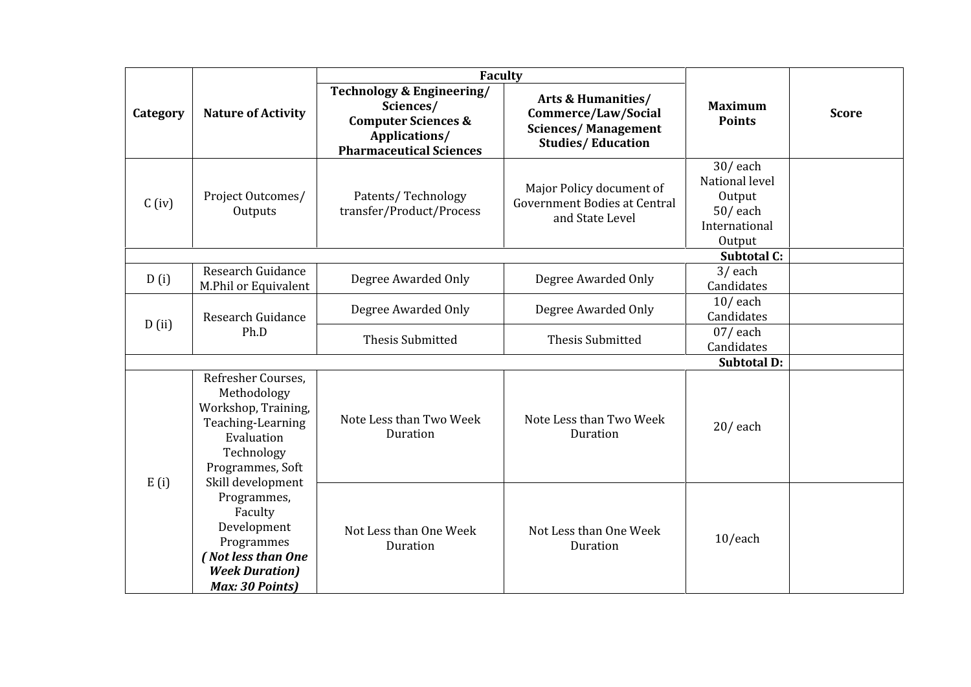|          | <b>Nature of Activity</b>                                                                                                                                                                                                                                                           | <b>Faculty</b>                                                                                                              |                                                                                                                |                                                                                 |              |
|----------|-------------------------------------------------------------------------------------------------------------------------------------------------------------------------------------------------------------------------------------------------------------------------------------|-----------------------------------------------------------------------------------------------------------------------------|----------------------------------------------------------------------------------------------------------------|---------------------------------------------------------------------------------|--------------|
| Category |                                                                                                                                                                                                                                                                                     | Technology & Engineering/<br>Sciences/<br><b>Computer Sciences &amp;</b><br>Applications/<br><b>Pharmaceutical Sciences</b> | <b>Arts &amp; Humanities/</b><br>Commerce/Law/Social<br><b>Sciences/Management</b><br><b>Studies/Education</b> | <b>Maximum</b><br><b>Points</b>                                                 | <b>Score</b> |
| $C$ (iv) | Project Outcomes/<br>Outputs                                                                                                                                                                                                                                                        | Patents/Technology<br>transfer/Product/Process                                                                              | Major Policy document of<br><b>Government Bodies at Central</b><br>and State Level                             | $30/$ each<br>National level<br>Output<br>$50/$ each<br>International<br>Output |              |
|          |                                                                                                                                                                                                                                                                                     |                                                                                                                             |                                                                                                                | <b>Subtotal C:</b>                                                              |              |
| D(i)     | Research Guidance<br>M.Phil or Equivalent                                                                                                                                                                                                                                           | Degree Awarded Only                                                                                                         | Degree Awarded Only                                                                                            | $3/$ each<br>Candidates                                                         |              |
| D(ii)    | Research Guidance<br>Ph.D                                                                                                                                                                                                                                                           | Degree Awarded Only                                                                                                         | Degree Awarded Only                                                                                            | $10/$ each<br>Candidates                                                        |              |
|          |                                                                                                                                                                                                                                                                                     | <b>Thesis Submitted</b>                                                                                                     | <b>Thesis Submitted</b>                                                                                        | $07/$ each<br>Candidates                                                        |              |
|          |                                                                                                                                                                                                                                                                                     |                                                                                                                             |                                                                                                                | <b>Subtotal D:</b>                                                              |              |
| E(i)     | Refresher Courses.<br>Methodology<br>Workshop, Training,<br>Teaching-Learning<br>Evaluation<br>Technology<br>Programmes, Soft<br>Skill development<br>Programmes,<br>Faculty<br>Development<br>Programmes<br>(Not less than One<br><b>Week Duration</b> )<br><b>Max: 30 Points)</b> | Note Less than Two Week<br>Duration                                                                                         | Note Less than Two Week<br>Duration                                                                            | $20/$ each                                                                      |              |
|          |                                                                                                                                                                                                                                                                                     | Not Less than One Week<br>Duration                                                                                          | Not Less than One Week<br>Duration                                                                             | 10/each                                                                         |              |